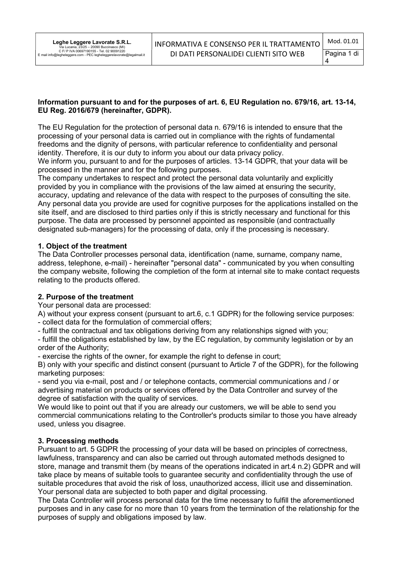### Information pursuant to and for the purposes of art. 6, EU Regulation no. 679/16, art. 13-14, EU Reg. 2016/679 (hereinafter, GDPR).

The EU Regulation for the protection of personal data n. 679/16 is intended to ensure that the processing of your personal data is carried out in compliance with the rights of fundamental freedoms and the dignity of persons, with particular reference to confidentiality and personal identity. Therefore, it is our duty to inform you about our data privacy policy.

We inform you, pursuant to and for the purposes of articles. 13-14 GDPR, that your data will be processed in the manner and for the following purposes.

The company undertakes to respect and protect the personal data voluntarily and explicitly provided by you in compliance with the provisions of the law aimed at ensuring the security, accuracy, updating and relevance of the data with respect to the purposes of consulting the site. Any personal data you provide are used for cognitive purposes for the applications installed on the site itself, and are disclosed to third parties only if this is strictly necessary and functional for this purpose. The data are processed by personnel appointed as responsible (and contractually designated sub-managers) for the processing of data, only if the processing is necessary.

### 1. Object of the treatment

The Data Controller processes personal data, identification (name, surname, company name, address, telephone, e-mail) - hereinafter "personal data" - communicated by you when consulting the company website, following the completion of the form at internal site to make contact requests relating to the products offered.

# 2. Purpose of the treatment

Your personal data are processed:

A) without your express consent (pursuant to art.6, c.1 GDPR) for the following service purposes: - collect data for the formulation of commercial offers;

- fulfill the contractual and tax obligations deriving from any relationships signed with you;

- fulfill the obligations established by law, by the EC regulation, by community legislation or by an order of the Authority;

- exercise the rights of the owner, for example the right to defense in court;

B) only with your specific and distinct consent (pursuant to Article 7 of the GDPR), for the following marketing purposes:

- send you via e-mail, post and / or telephone contacts, commercial communications and / or advertising material on products or services offered by the Data Controller and survey of the degree of satisfaction with the quality of services.

We would like to point out that if you are already our customers, we will be able to send you commercial communications relating to the Controller's products similar to those you have already used, unless you disagree.

# 3. Processing methods

Pursuant to art. 5 GDPR the processing of your data will be based on principles of correctness, lawfulness, transparency and can also be carried out through automated methods designed to store, manage and transmit them (by means of the operations indicated in art.4 n.2) GDPR and will take place by means of suitable tools to guarantee security and confidentiality through the use of suitable procedures that avoid the risk of loss, unauthorized access, illicit use and dissemination. Your personal data are subjected to both paper and digital processing.

The Data Controller will process personal data for the time necessary to fulfill the aforementioned purposes and in any case for no more than 10 years from the termination of the relationship for the purposes of supply and obligations imposed by law.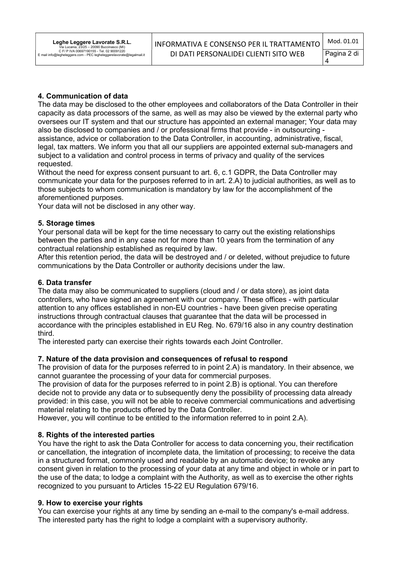# 4. Communication of data

The data may be disclosed to the other employees and collaborators of the Data Controller in their capacity as data processors of the same, as well as may also be viewed by the external party who oversees our IT system and that our structure has appointed an external manager; Your data may also be disclosed to companies and / or professional firms that provide - in outsourcing assistance, advice or collaboration to the Data Controller, in accounting, administrative, fiscal, legal, tax matters. We inform you that all our suppliers are appointed external sub-managers and subject to a validation and control process in terms of privacy and quality of the services requested.

Without the need for express consent pursuant to art. 6, c.1 GDPR, the Data Controller may communicate your data for the purposes referred to in art. 2.A) to judicial authorities, as well as to those subjects to whom communication is mandatory by law for the accomplishment of the aforementioned purposes.

Your data will not be disclosed in any other way.

### 5. Storage times

Your personal data will be kept for the time necessary to carry out the existing relationships between the parties and in any case not for more than 10 years from the termination of any contractual relationship established as required by law.

After this retention period, the data will be destroyed and / or deleted, without prejudice to future communications by the Data Controller or authority decisions under the law.

### 6. Data transfer

The data may also be communicated to suppliers (cloud and / or data store), as joint data controllers, who have signed an agreement with our company. These offices - with particular attention to any offices established in non-EU countries - have been given precise operating instructions through contractual clauses that guarantee that the data will be processed in accordance with the principles established in EU Reg. No. 679/16 also in any country destination third.

The interested party can exercise their rights towards each Joint Controller.

# 7. Nature of the data provision and consequences of refusal to respond

The provision of data for the purposes referred to in point 2.A) is mandatory. In their absence, we cannot guarantee the processing of your data for commercial purposes.

The provision of data for the purposes referred to in point 2.B) is optional. You can therefore decide not to provide any data or to subsequently deny the possibility of processing data already provided: in this case, you will not be able to receive commercial communications and advertising material relating to the products offered by the Data Controller.

However, you will continue to be entitled to the information referred to in point 2.A).

#### 8. Rights of the interested parties

You have the right to ask the Data Controller for access to data concerning you, their rectification or cancellation, the integration of incomplete data, the limitation of processing; to receive the data in a structured format, commonly used and readable by an automatic device; to revoke any consent given in relation to the processing of your data at any time and object in whole or in part to the use of the data; to lodge a complaint with the Authority, as well as to exercise the other rights recognized to you pursuant to Articles 15-22 EU Regulation 679/16.

#### 9. How to exercise your rights

You can exercise your rights at any time by sending an e-mail to the company's e-mail address. The interested party has the right to lodge a complaint with a supervisory authority.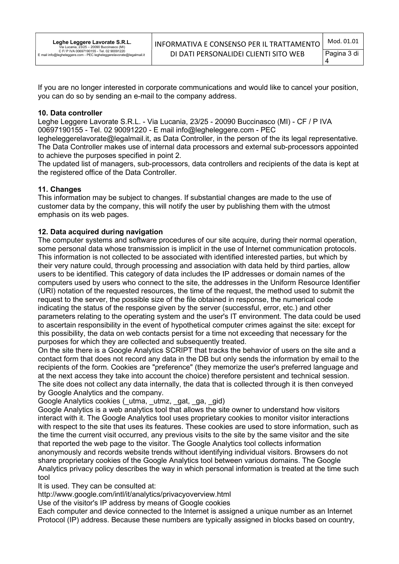If you are no longer interested in corporate communications and would like to cancel your position, you can do so by sending an e-mail to the company address.

#### 10. Data controller

Leghe Leggere Lavorate S.R.L. - Via Lucania, 23/25 - 20090 Buccinasco (MI) - CF / P IVA 00697190155 - Tel. 02 90091220 - E mail info@legheleggere.com - PEC

legheleggerelavorate@legalmail.it, as Data Controller, in the person of the its legal representative. The Data Controller makes use of internal data processors and external sub-processors appointed to achieve the purposes specified in point 2.

The updated list of managers, sub-processors, data controllers and recipients of the data is kept at the registered office of the Data Controller.

# 11. Changes

This information may be subject to changes. If substantial changes are made to the use of customer data by the company, this will notify the user by publishing them with the utmost emphasis on its web pages.

### 12. Data acquired during navigation

The computer systems and software procedures of our site acquire, during their normal operation, some personal data whose transmission is implicit in the use of Internet communication protocols. This information is not collected to be associated with identified interested parties, but which by their very nature could, through processing and association with data held by third parties, allow users to be identified. This category of data includes the IP addresses or domain names of the computers used by users who connect to the site, the addresses in the Uniform Resource Identifier (URI) notation of the requested resources, the time of the request, the method used to submit the request to the server, the possible size of the file obtained in response, the numerical code indicating the status of the response given by the server (successful, error, etc.) and other parameters relating to the operating system and the user's IT environment. The data could be used to ascertain responsibility in the event of hypothetical computer crimes against the site: except for this possibility, the data on web contacts persist for a time not exceeding that necessary for the purposes for which they are collected and subsequently treated.

On the site there is a Google Analytics SCRIPT that tracks the behavior of users on the site and a contact form that does not record any data in the DB but only sends the information by email to the recipients of the form. Cookies are "preference" (they memorize the user's preferred language and at the next access they take into account the choice) therefore persistent and technical session. The site does not collect any data internally, the data that is collected through it is then conveyed by Google Analytics and the company.

Google Analytics cookies (\_utma, \_utmz, \_gat, \_ga, \_gid)

Google Analytics is a web analytics tool that allows the site owner to understand how visitors interact with it. The Google Analytics tool uses proprietary cookies to monitor visitor interactions with respect to the site that uses its features. These cookies are used to store information, such as the time the current visit occurred, any previous visits to the site by the same visitor and the site that reported the web page to the visitor. The Google Analytics tool collects information anonymously and records website trends without identifying individual visitors. Browsers do not share proprietary cookies of the Google Analytics tool between various domains. The Google Analytics privacy policy describes the way in which personal information is treated at the time such tool

It is used. They can be consulted at:

http://www.google.com/intl/it/analytics/privacyoverview.html

Use of the visitor's IP address by means of Google cookies

Each computer and device connected to the Internet is assigned a unique number as an Internet Protocol (IP) address. Because these numbers are typically assigned in blocks based on country,